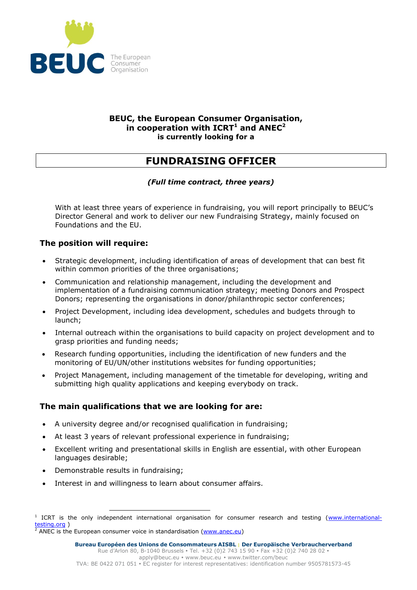

#### **BEUC, the European Consumer Organisation, in cooperation with ICRT<sup>1</sup> and ANEC<sup>2</sup> is currently looking for a**

# **FUNDRAISING OFFICER**

## *(Full time contract, three years)*

With at least three years of experience in fundraising, you will report principally to BEUC's Director General and work to deliver our new Fundraising Strategy, mainly focused on Foundations and the EU.

# **The position will require:**

- Strategic development, including identification of areas of development that can best fit within common priorities of the three organisations;
- Communication and relationship management, including the development and implementation of a fundraising communication strategy; meeting Donors and Prospect Donors; representing the organisations in donor/philanthropic sector conferences;
- Project Development, including idea development, schedules and budgets through to launch;
- Internal outreach within the organisations to build capacity on project development and to grasp priorities and funding needs;
- Research funding opportunities, including the identification of new funders and the monitoring of EU/UN/other institutions websites for funding opportunities;
- Project Management, including management of the timetable for developing, writing and submitting high quality applications and keeping everybody on track.

## **The main qualifications that we are looking for are:**

- A university degree and/or recognised qualification in fundraising;
- At least 3 years of relevant professional experience in fundraising;
- Excellent writing and presentational skills in English are essential, with other European languages desirable;
- Demonstrable results in fundraising;
- Interest in and willingness to learn about consumer affairs.

 $\frac{2}{3}$  ANEC is the European consumer voice in standardisation [\(www.anec.eu\)](http://www.anec.eu/)

<sup>-</sup><sup>1</sup> ICRT is the only independent international organisation for consumer research and testing [\(www.international](http://www.international-testing.org/)[testing.org](http://www.international-testing.org/) )